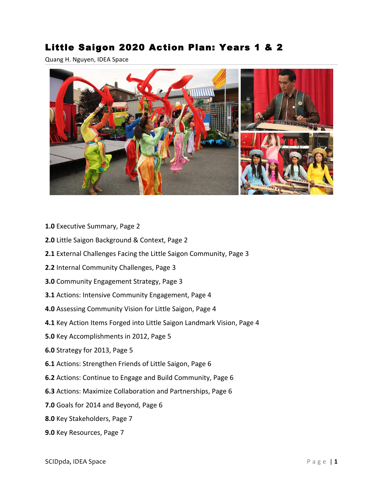# Little Saigon 2020 Action Plan: Years 1 & 2

Quang H. Nguyen, IDEA Space



- **1.0** Executive Summary, Page 2
- **2.0** Little Saigon Background & Context, Page 2
- **2.1** External Challenges Facing the Little Saigon Community, Page 3
- **2.2** Internal Community Challenges, Page 3
- **3.0** Community Engagement Strategy, Page 3
- **3.1** Actions: Intensive Community Engagement, Page 4
- **4.0** Assessing Community Vision for Little Saigon, Page 4
- **4.1** Key Action Items Forged into Little Saigon Landmark Vision, Page 4
- **5.0** Key Accomplishments in 2012, Page 5
- **6.0** Strategy for 2013, Page 5
- **6.1** Actions: Strengthen Friends of Little Saigon, Page 6
- **6.2** Actions: Continue to Engage and Build Community, Page 6
- **6.3** Actions: Maximize Collaboration and Partnerships, Page 6
- **7.0** Goals for 2014 and Beyond, Page 6
- **8.0** Key Stakeholders, Page 7
- **9.0** Key Resources, Page 7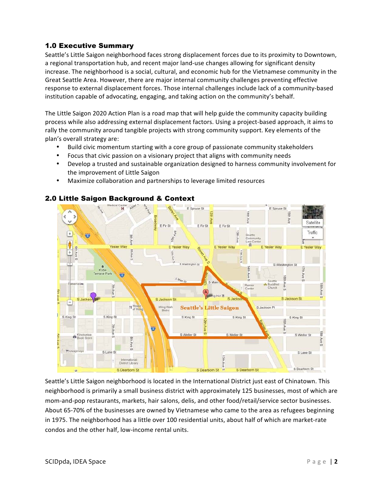## 1.0 Executive Summary

Seattle's Little Saigon neighborhood faces strong displacement forces due to its proximity to Downtown, a regional transportation hub, and recent major land-use changes allowing for significant density increase. The neighborhood is a social, cultural, and economic hub for the Vietnamese community in the Great Seattle Area. However, there are major internal community challenges preventing effective response to external displacement forces. Those internal challenges include lack of a community-based institution capable of advocating, engaging, and taking action on the community's behalf.

The Little Saigon 2020 Action Plan is a road map that will help guide the community capacity building process while also addressing external displacement factors. Using a project-based approach, it aims to rally the community around tangible projects with strong community support. Key elements of the plan's overall strategy are:

- Build civic momentum starting with a core group of passionate community stakeholders
- Focus that civic passion on a visionary project that aligns with community needs
- Develop a trusted and sustainable organization designed to harness community involvement for the improvement of Little Saigon
- Maximize collaboration and partnerships to leverage limited resources



#### 2.0 Little Saigon Background & Context

Seattle's Little Saigon neighborhood is located in the International District just east of Chinatown. This neighborhood is primarily a small business district with approximately 125 businesses, most of which are mom-and-pop restaurants, markets, hair salons, delis, and other food/retail/service sector businesses. About 65-70% of the businesses are owned by Vietnamese who came to the area as refugees beginning in 1975. The neighborhood has a little over 100 residential units, about half of which are market-rate condos and the other half, low-income rental units.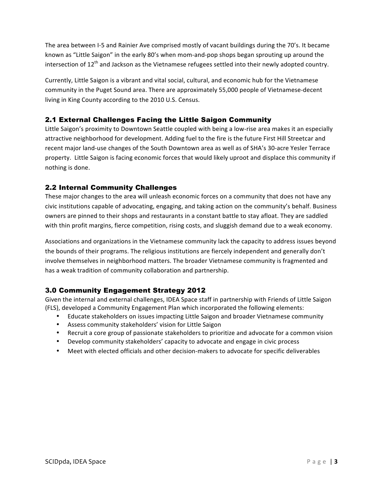The area between I-5 and Rainier Ave comprised mostly of vacant buildings during the 70's. It became known as "Little Saigon" in the early 80's when mom-and-pop shops began sprouting up around the intersection of  $12^{th}$  and Jackson as the Vietnamese refugees settled into their newly adopted country.

Currently, Little Saigon is a vibrant and vital social, cultural, and economic hub for the Vietnamese community in the Puget Sound area. There are approximately 55,000 people of Vietnamese-decent living in King County according to the 2010 U.S. Census.

## 2.1 External Challenges Facing the Little Saigon Community

Little Saigon's proximity to Downtown Seattle coupled with being a low-rise area makes it an especially attractive neighborhood for development. Adding fuel to the fire is the future First Hill Streetcar and recent major land-use changes of the South Downtown area as well as of SHA's 30-acre Yesler Terrace property. Little Saigon is facing economic forces that would likely uproot and displace this community if nothing is done.

## 2.2 Internal Community Challenges

These major changes to the area will unleash economic forces on a community that does not have any civic institutions capable of advocating, engaging, and taking action on the community's behalf. Business owners are pinned to their shops and restaurants in a constant battle to stay afloat. They are saddled with thin profit margins, fierce competition, rising costs, and sluggish demand due to a weak economy.

Associations and organizations in the Vietnamese community lack the capacity to address issues beyond the bounds of their programs. The religious institutions are fiercely independent and generally don't involve themselves in neighborhood matters. The broader Vietnamese community is fragmented and has a weak tradition of community collaboration and partnership.

## 3.0 Community Engagement Strategy 2012

Given the internal and external challenges, IDEA Space staff in partnership with Friends of Little Saigon (FLS), developed a Community Engagement Plan which incorporated the following elements:

- Educate stakeholders on issues impacting Little Saigon and broader Vietnamese community
- Assess community stakeholders' vision for Little Saigon
- Recruit a core group of passionate stakeholders to prioritize and advocate for a common vision
- Develop community stakeholders' capacity to advocate and engage in civic process
- Meet with elected officials and other decision-makers to advocate for specific deliverables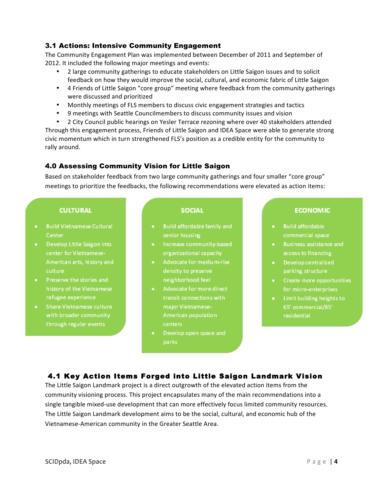## 3.1 Actions: Intensive Community Engagement

The Community Engagement Plan was implemented between December of 2011 and September of 2012. It included the following major meetings and events:

- 2 large community gatherings to educate stakeholders on Little Saigon issues and to solicit feedback on how they would improve the social, cultural, and economic fabric of Little Saigon
- 4 Friends of Little Saigon "core group" meeting where feedback from the community gatherings were discussed and prioritized
- Monthly meetings of FLS members to discuss civic engagement strategies and tactics
- 9 meetings with Seattle Councilmembers to discuss community issues and vision
- 2 City Council public hearings on Yesler Terrace rezoning where over 40 stakeholders attended

Through this engagement process, Friends of Little Saigon and IDEA Space were able to generate strong civic momentum which in turn strengthened FLS's position as a credible entity for the community to rally around.

#### 4.0 Assessing Community Vision for Little Saigon

Based on stakeholder feedback from two large community gatherings and four smaller "core group" meetings to prioritize the feedbacks, the following recommendations were elevated as action items:

#### **CULTURAL**

- · Build Vietnamese Cultural Center
- · Develop Little Saigon into center for Vietnamese-American arts, history and culture
- Preserve the stories and history of the Vietnamese refugee experience
- Share Vietnamese culture with broader community through regular events

#### **SOCIAL**

- Build affordable family and senior housing
- Increase community-based organizational capacity
- Advocate for medium-rise density to preserve neighborhood feel
- Advocate for more direct  $\bullet$  . transit connections with major Vietnamese-American population
- Develop open space and parks

#### **ECONOMIC**

- · Build affordable commercial space
- Business assistance and access to financing
- Develop centralized parking structure
- Create more opportunities for micro-enterprises
- Limit building heights to 65' commercial/85' residential

## 4.1 Key Action Items Forged into Little Saigon Landmark Vision

The Little Saigon Landmark project is a direct outgrowth of the elevated action items from the community visioning process. This project encapsulates many of the main recommendations into a single tangible mixed-use development that can more effectively focus limited community resources. The Little Saigon Landmark development aims to be the social, cultural, and economic hub of the Vietnamese-American community in the Greater Seattle Area.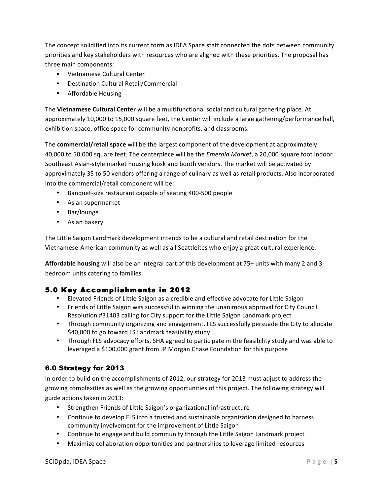The concept solidified into its current form as IDEA Space staff connected the dots between community priorities and key stakeholders with resources who are aligned with these priorities. The proposal has three main components:

- Vietnamese Cultural Center
- Destination Cultural Retail/Commercial
- Affordable Housing

The Vietnamese Cultural Center will be a multifunctional social and cultural gathering place. At approximately 10,000 to 15,000 square feet, the Center will include a large gathering/performance hall, exhibition space, office space for community nonprofits, and classrooms.

The **commercial/retail space** will be the largest component of the development at approximately 40,000 to 50,000 square feet. The centerpiece will be the *Emerald Market*, a 20,000 square foot indoor Southeast Asian-style market housing kiosk and booth vendors. The market will be activated by approximately 35 to 50 vendors offering a range of culinary as well as retail products. Also incorporated into the commercial/retail component will be:

- Banquet-size restaurant capable of seating 400-500 people
- Asian supermarket
- Bar/lounge
- Asian bakery

The Little Saigon Landmark development intends to be a cultural and retail destination for the Vietnamese-American community as well as all Seattleites who enjoy a great cultural experience.

Affordable housing will also be an integral part of this development at 75+ units with many 2 and 3bedroom units catering to families.

## 5.0 Key Accomplishments in 2012

- Elevated Friends of Little Saigon as a credible and effective advocate for Little Saigon
- Friends of Little Saigon was successful in winning the unanimous approval for City Council Resolution #31403 calling for City support for the Little Saigon Landmark project
- Through community organizing and engagement, FLS successfully persuade the City to allocate \$40,000 to go toward LS Landmark feasibility study
- Through FLS advocacy efforts, SHA agreed to participate in the feasibility study and was able to leveraged a \$100,000 grant from JP Morgan Chase Foundation for this purpose

## 6.0 Strategy for 2013

In order to build on the accomplishments of 2012, our strategy for 2013 must adjust to address the growing complexities as well as the growing opportunities of this project. The following strategy will guide actions taken in 2013:

- Strengthen Friends of Little Saigon's organizational infrastructure
- Continue to develop FLS into a trusted and sustainable organization designed to harness community involvement for the improvement of Little Saigon
- Continue to engage and build community through the Little Saigon Landmark project
- Maximize collaboration opportunities and partnerships to leverage limited resources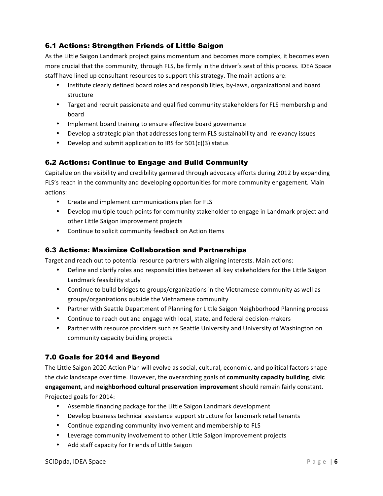## 6.1 Actions: Strengthen Friends of Little Saigon

As the Little Saigon Landmark project gains momentum and becomes more complex, it becomes even more crucial that the community, through FLS, be firmly in the driver's seat of this process. IDEA Space staff have lined up consultant resources to support this strategy. The main actions are:

- Institute clearly defined board roles and responsibilities, by-laws, organizational and board structure
- Target and recruit passionate and qualified community stakeholders for FLS membership and board
- Implement board training to ensure effective board governance
- Develop a strategic plan that addresses long term FLS sustainability and relevancy issues
- Develop and submit application to IRS for  $501(c)(3)$  status

## 6.2 Actions: Continue to Engage and Build Community

Capitalize on the visibility and credibility garnered through advocacy efforts during 2012 by expanding FLS's reach in the community and developing opportunities for more community engagement. Main actions:

- Create and implement communications plan for FLS
- Develop multiple touch points for community stakeholder to engage in Landmark project and other Little Saigon improvement projects
- Continue to solicit community feedback on Action Items

## 6.3 Actions: Maximize Collaboration and Partnerships

Target and reach out to potential resource partners with aligning interests. Main actions:

- Define and clarify roles and responsibilities between all key stakeholders for the Little Saigon Landmark feasibility study
- Continue to build bridges to groups/organizations in the Vietnamese community as well as groups/organizations outside the Vietnamese community
- Partner with Seattle Department of Planning for Little Saigon Neighborhood Planning process
- Continue to reach out and engage with local, state, and federal decision-makers
- Partner with resource providers such as Seattle University and University of Washington on community capacity building projects

# 7.0 Goals for 2014 and Beyond

The Little Saigon 2020 Action Plan will evolve as social, cultural, economic, and political factors shape the civic landscape over time. However, the overarching goals of **community capacity building**, civic **engagement**, and **neighborhood cultural preservation improvement** should remain fairly constant. Projected goals for 2014:

- Assemble financing package for the Little Saigon Landmark development
- Develop business technical assistance support structure for landmark retail tenants
- Continue expanding community involvement and membership to FLS
- Leverage community involvement to other Little Saigon improvement projects
- Add staff capacity for Friends of Little Saigon